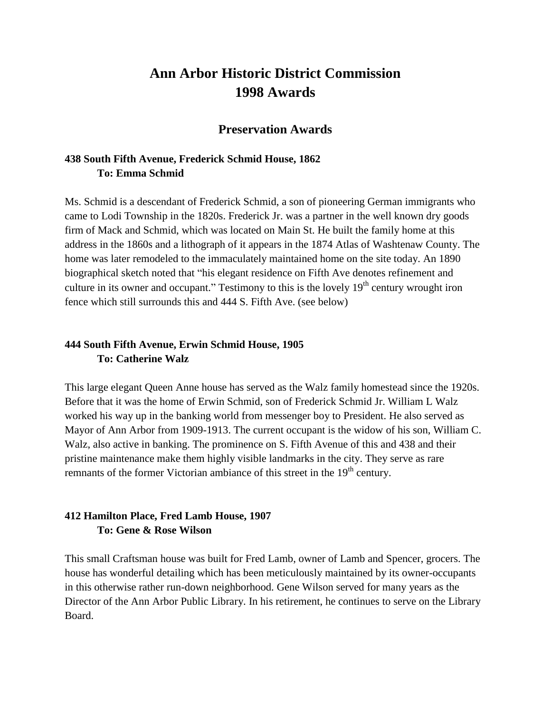# **Ann Arbor Historic District Commission 1998 Awards**

#### **Preservation Awards**

#### **438 South Fifth Avenue, Frederick Schmid House, 1862 To: Emma Schmid**

Ms. Schmid is a descendant of Frederick Schmid, a son of pioneering German immigrants who came to Lodi Township in the 1820s. Frederick Jr. was a partner in the well known dry goods firm of Mack and Schmid, which was located on Main St. He built the family home at this address in the 1860s and a lithograph of it appears in the 1874 Atlas of Washtenaw County. The home was later remodeled to the immaculately maintained home on the site today. An 1890 biographical sketch noted that "his elegant residence on Fifth Ave denotes refinement and culture in its owner and occupant." Testimony to this is the lovely  $19<sup>th</sup>$  century wrought iron fence which still surrounds this and 444 S. Fifth Ave. (see below)

#### **444 South Fifth Avenue, Erwin Schmid House, 1905 To: Catherine Walz**

This large elegant Queen Anne house has served as the Walz family homestead since the 1920s. Before that it was the home of Erwin Schmid, son of Frederick Schmid Jr. William L Walz worked his way up in the banking world from messenger boy to President. He also served as Mayor of Ann Arbor from 1909-1913. The current occupant is the widow of his son, William C. Walz, also active in banking. The prominence on S. Fifth Avenue of this and 438 and their pristine maintenance make them highly visible landmarks in the city. They serve as rare remnants of the former Victorian ambiance of this street in the 19<sup>th</sup> century.

#### **412 Hamilton Place, Fred Lamb House, 1907 To: Gene & Rose Wilson**

This small Craftsman house was built for Fred Lamb, owner of Lamb and Spencer, grocers. The house has wonderful detailing which has been meticulously maintained by its owner-occupants in this otherwise rather run-down neighborhood. Gene Wilson served for many years as the Director of the Ann Arbor Public Library. In his retirement, he continues to serve on the Library Board.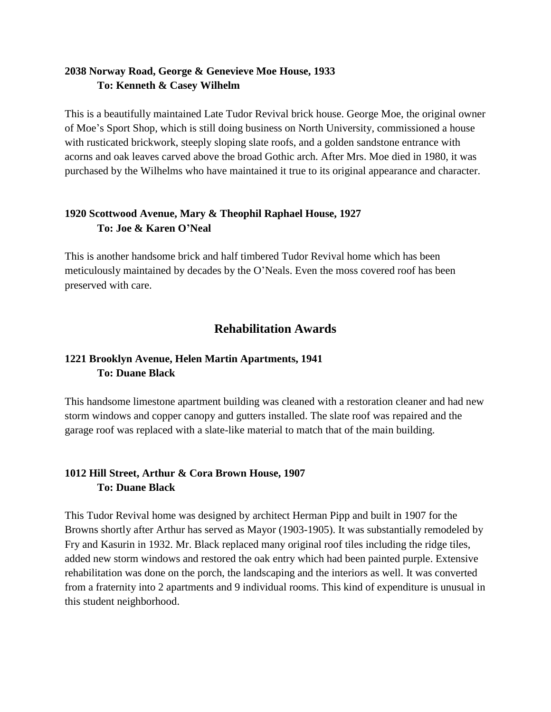#### **2038 Norway Road, George & Genevieve Moe House, 1933 To: Kenneth & Casey Wilhelm**

This is a beautifully maintained Late Tudor Revival brick house. George Moe, the original owner of Moe's Sport Shop, which is still doing business on North University, commissioned a house with rusticated brickwork, steeply sloping slate roofs, and a golden sandstone entrance with acorns and oak leaves carved above the broad Gothic arch. After Mrs. Moe died in 1980, it was purchased by the Wilhelms who have maintained it true to its original appearance and character.

### **1920 Scottwood Avenue, Mary & Theophil Raphael House, 1927 To: Joe & Karen O'Neal**

This is another handsome brick and half timbered Tudor Revival home which has been meticulously maintained by decades by the O'Neals. Even the moss covered roof has been preserved with care.

# **Rehabilitation Awards**

### **1221 Brooklyn Avenue, Helen Martin Apartments, 1941 To: Duane Black**

This handsome limestone apartment building was cleaned with a restoration cleaner and had new storm windows and copper canopy and gutters installed. The slate roof was repaired and the garage roof was replaced with a slate-like material to match that of the main building.

#### **1012 Hill Street, Arthur & Cora Brown House, 1907 To: Duane Black**

This Tudor Revival home was designed by architect Herman Pipp and built in 1907 for the Browns shortly after Arthur has served as Mayor (1903-1905). It was substantially remodeled by Fry and Kasurin in 1932. Mr. Black replaced many original roof tiles including the ridge tiles, added new storm windows and restored the oak entry which had been painted purple. Extensive rehabilitation was done on the porch, the landscaping and the interiors as well. It was converted from a fraternity into 2 apartments and 9 individual rooms. This kind of expenditure is unusual in this student neighborhood.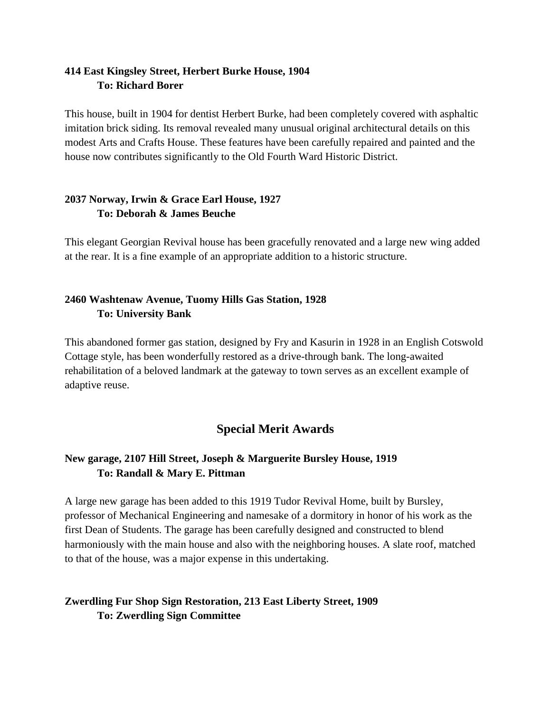#### **414 East Kingsley Street, Herbert Burke House, 1904 To: Richard Borer**

This house, built in 1904 for dentist Herbert Burke, had been completely covered with asphaltic imitation brick siding. Its removal revealed many unusual original architectural details on this modest Arts and Crafts House. These features have been carefully repaired and painted and the house now contributes significantly to the Old Fourth Ward Historic District.

#### **2037 Norway, Irwin & Grace Earl House, 1927 To: Deborah & James Beuche**

This elegant Georgian Revival house has been gracefully renovated and a large new wing added at the rear. It is a fine example of an appropriate addition to a historic structure.

#### **2460 Washtenaw Avenue, Tuomy Hills Gas Station, 1928 To: University Bank**

This abandoned former gas station, designed by Fry and Kasurin in 1928 in an English Cotswold Cottage style, has been wonderfully restored as a drive-through bank. The long-awaited rehabilitation of a beloved landmark at the gateway to town serves as an excellent example of adaptive reuse.

# **Special Merit Awards**

#### **New garage, 2107 Hill Street, Joseph & Marguerite Bursley House, 1919 To: Randall & Mary E. Pittman**

A large new garage has been added to this 1919 Tudor Revival Home, built by Bursley, professor of Mechanical Engineering and namesake of a dormitory in honor of his work as the first Dean of Students. The garage has been carefully designed and constructed to blend harmoniously with the main house and also with the neighboring houses. A slate roof, matched to that of the house, was a major expense in this undertaking.

### **Zwerdling Fur Shop Sign Restoration, 213 East Liberty Street, 1909 To: Zwerdling Sign Committee**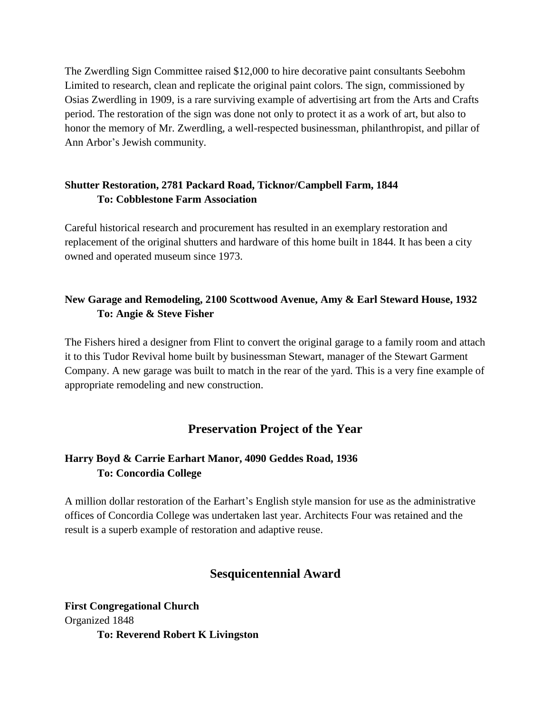The Zwerdling Sign Committee raised \$12,000 to hire decorative paint consultants Seebohm Limited to research, clean and replicate the original paint colors. The sign, commissioned by Osias Zwerdling in 1909, is a rare surviving example of advertising art from the Arts and Crafts period. The restoration of the sign was done not only to protect it as a work of art, but also to honor the memory of Mr. Zwerdling, a well-respected businessman, philanthropist, and pillar of Ann Arbor's Jewish community.

#### **Shutter Restoration, 2781 Packard Road, Ticknor/Campbell Farm, 1844 To: Cobblestone Farm Association**

Careful historical research and procurement has resulted in an exemplary restoration and replacement of the original shutters and hardware of this home built in 1844. It has been a city owned and operated museum since 1973.

### **New Garage and Remodeling, 2100 Scottwood Avenue, Amy & Earl Steward House, 1932 To: Angie & Steve Fisher**

The Fishers hired a designer from Flint to convert the original garage to a family room and attach it to this Tudor Revival home built by businessman Stewart, manager of the Stewart Garment Company. A new garage was built to match in the rear of the yard. This is a very fine example of appropriate remodeling and new construction.

# **Preservation Project of the Year**

### **Harry Boyd & Carrie Earhart Manor, 4090 Geddes Road, 1936 To: Concordia College**

A million dollar restoration of the Earhart's English style mansion for use as the administrative offices of Concordia College was undertaken last year. Architects Four was retained and the result is a superb example of restoration and adaptive reuse.

# **Sesquicentennial Award**

**First Congregational Church** Organized 1848 **To: Reverend Robert K Livingston**